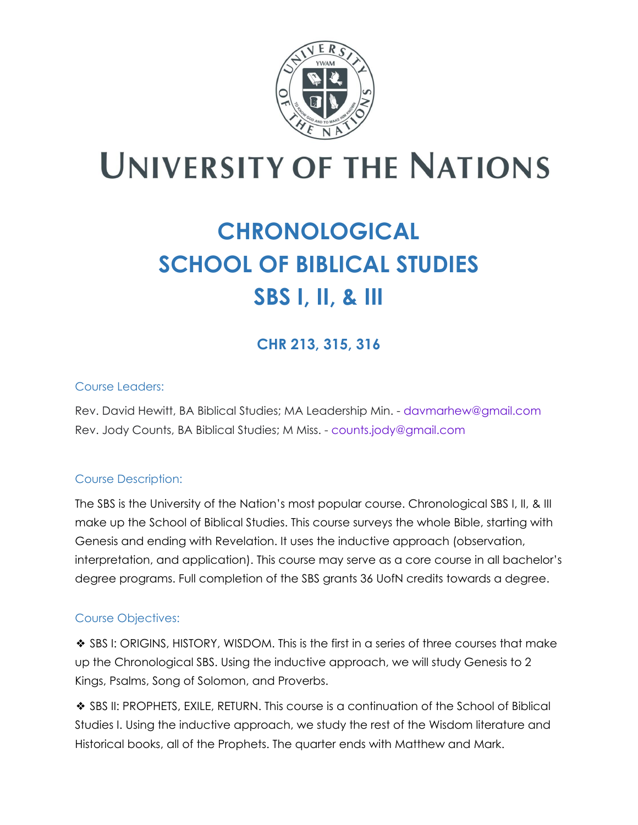

# **UNIVERSITY OF THE NATIONS**

## **CHRONOLOGICAL SCHOOL OF BIBLICAL STUDIES SBS I, II, & III**

### **CHR 213, 315, 316**

#### Course Leaders:

Rev. David Hewitt, BA Biblical Studies; MA Leadership Min. - davmarhew@gmail.com Rev. Jody Counts, BA Biblical Studies; M Miss. - counts.jody@gmail.com

#### Course Description:

The SBS is the University of the Nation's most popular course. Chronological SBS I, II, & III make up the School of Biblical Studies. This course surveys the whole Bible, starting with Genesis and ending with Revelation. It uses the inductive approach (observation, interpretation, and application). This course may serve as a core course in all bachelor's degree programs. Full completion of the SBS grants 36 UofN credits towards a degree.

#### Course Objectives:

❖ SBS I: ORIGINS, HISTORY, WISDOM. This is the first in a series of three courses that make up the Chronological SBS. Using the inductive approach, we will study Genesis to 2 Kings, Psalms, Song of Solomon, and Proverbs.

❖ SBS II: PROPHETS, EXILE, RETURN. This course is a continuation of the School of Biblical Studies I. Using the inductive approach, we study the rest of the Wisdom literature and Historical books, all of the Prophets. The quarter ends with Matthew and Mark.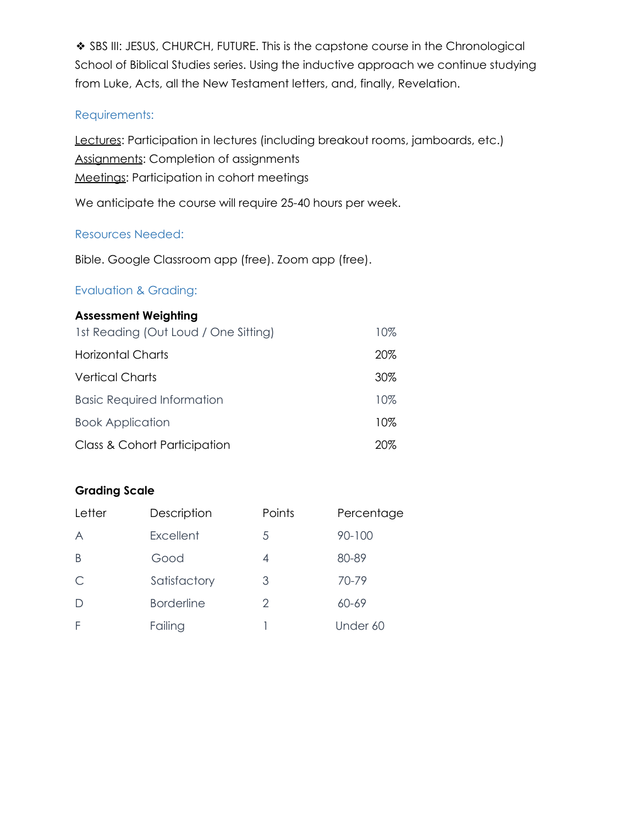❖ SBS III: JESUS, CHURCH, FUTURE. This is the capstone course in the Chronological School of Biblical Studies series. Using the inductive approach we continue studying from Luke, Acts, all the New Testament letters, and, finally, Revelation.

#### Requirements:

Lectures: Participation in lectures (including breakout rooms, jamboards, etc.) Assignments: Completion of assignments Meetings: Participation in cohort meetings

We anticipate the course will require 25-40 hours per week.

#### Resources Needed:

Bible. Google Classroom app (free). Zoom app (free).

#### Evaluation & Grading:

#### **Assessment Weighting**

| 1st Reading (Out Loud / One Sitting) | 10% |
|--------------------------------------|-----|
| Horizontal Charts                    | 20% |
| <b>Vertical Charts</b>               | 30% |
| <b>Basic Required Information</b>    | 10% |
| <b>Book Application</b>              | 10% |
| Class & Cohort Participation         | 20% |

#### **Grading Scale**

| Letter | Description       | Points | Percentage |  |  |
|--------|-------------------|--------|------------|--|--|
| A      | Excellent         | 5      | $90 - 100$ |  |  |
| B      | Good              | 4      | 80-89      |  |  |
| C      | Satisfactory      | 3      | 70-79      |  |  |
| D      | <b>Borderline</b> | 2      | 60-69      |  |  |
| F      | Failing           |        | Under 60   |  |  |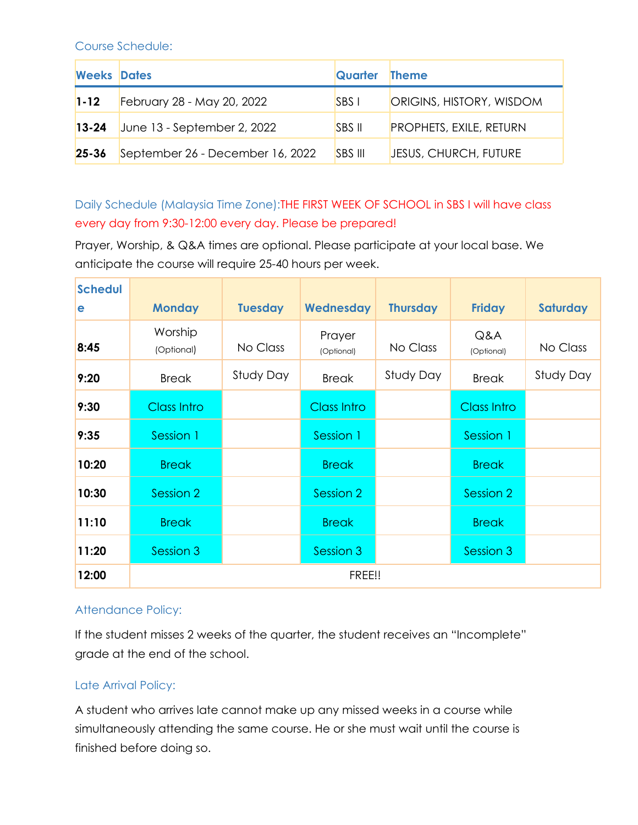Course Schedule:

| <b>Weeks Dates</b> |                                  | Quarter        | <b>Theme</b>                   |
|--------------------|----------------------------------|----------------|--------------------------------|
| $1 - 12$           | February 28 - May 20, 2022       | <b>SBS</b> I   | ORIGINS, HISTORY, WISDOM       |
| $13 - 24$          | June $13$ - September 2, 2022    | <b>SBS II</b>  | <b>PROPHETS, EXILE, RETURN</b> |
| $25 - 36$          | September 26 - December 16, 2022 | <b>SBS III</b> | JESUS, CHURCH, FUTURE          |

Daily Schedule (Malaysia Time Zone):THE FIRST WEEK OF SCHOOL in SBS I will have class every day from 9:30-12:00 every day. Please be prepared!

Prayer, Worship, & Q&A times are optional. Please participate at your local base. We anticipate the course will require 25-40 hours per week.

| <b>Schedul</b><br>e | <b>Monday</b>         | <b>Tuesday</b> | Wednesday            | <b>Thursday</b> | <b>Friday</b>      | <b>Saturday</b> |  |
|---------------------|-----------------------|----------------|----------------------|-----------------|--------------------|-----------------|--|
| 8:45                | Worship<br>(Optional) | No Class       | Prayer<br>(Optional) | No Class        | Q&A<br>(Optional)  | No Class        |  |
| 9:20                | <b>Break</b>          | Study Day      | <b>Break</b>         | Study Day       | <b>Break</b>       | Study Day       |  |
| 9:30                | <b>Class Intro</b>    |                | <b>Class Intro</b>   |                 | <b>Class Intro</b> |                 |  |
| 9:35                | Session 1             |                | Session 1            |                 | Session 1          |                 |  |
| 10:20               | <b>Break</b>          |                | <b>Break</b>         |                 | <b>Break</b>       |                 |  |
| 10:30               | Session 2             |                | Session 2            |                 | Session 2          |                 |  |
| 11:10               | <b>Break</b>          |                | <b>Break</b>         |                 | <b>Break</b>       |                 |  |
| 11:20               | Session 3             |                | Session 3            |                 | Session 3          |                 |  |
| 12:00               | FREE!!                |                |                      |                 |                    |                 |  |

#### Attendance Policy:

If the student misses 2 weeks of the quarter, the student receives an "Incomplete" grade at the end of the school.

#### Late Arrival Policy:

A student who arrives late cannot make up any missed weeks in a course while simultaneously attending the same course. He or she must wait until the course is finished before doing so.